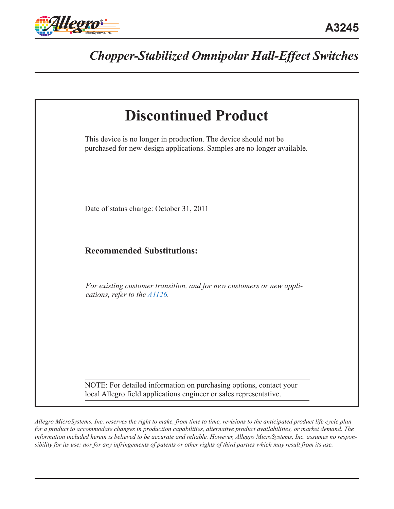

# *Chopper-Stabilized Omnipolar Hall-Effect Switches*

| <b>Discontinued Product</b>                                                                                                                 |  |  |  |  |
|---------------------------------------------------------------------------------------------------------------------------------------------|--|--|--|--|
| This device is no longer in production. The device should not be<br>purchased for new design applications. Samples are no longer available. |  |  |  |  |
| Date of status change: October 31, 2011                                                                                                     |  |  |  |  |
| <b>Recommended Substitutions:</b>                                                                                                           |  |  |  |  |
| For existing customer transition, and for new customers or new appli-<br>cations, refer to the <b>A1126</b> .                               |  |  |  |  |
| NOTE: For detailed information on purchasing options, contact your<br>local Allegro field applications engineer or sales representative.    |  |  |  |  |

*Allegro MicroSystems, Inc. reserves the right to make, from time to time, revisions to the anticipated product life cycle plan for a product to accommodate changes in production capabilities, alternative product availabilities, or market demand. The information included herein is believed to be accurate and reliable. However, Allegro MicroSystems, Inc. assumes no responsibility for its use; nor for any infringements of patents or other rights of third parties which may result from its use.*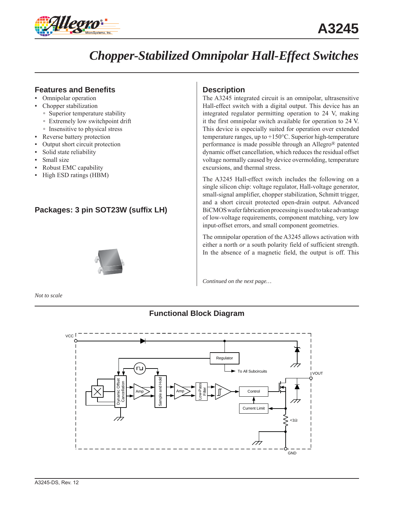

# *Chopper-Stabilized Omnipolar Hall-Effect Switches*

# **Features and Benefits**

- Omnipolar operation
- Chopper stabilization
	- Superior temperature stability
	- Extremely low switchpoint drift
- Insensitive to physical stress
- Reverse battery protection
- Output short circuit protection
- Solid state reliability
- Small size
- Robust EMC capability
- High ESD ratings (HBM)

# **Packages: 3 pin SOT23W (suffix LH)**



*Not to scale*

# **Description**

The A3245 integrated circuit is an omnipolar, ultrasensitive Hall-effect switch with a digital output. This device has an integrated regulator permitting operation to 24 V, making it the first omnipolar switch available for operation to 24 V. This device is especially suited for operation over extended temperature ranges, up to +150°C. Superior high-temperature performance is made possible through an Allegro® patented dynamic offset cancellation, which reduces the residual offset voltage normally caused by device overmolding, temperature excursions, and thermal stress.

The A3245 Hall-effect switch includes the following on a single silicon chip: voltage regulator, Hall-voltage generator, small-signal amplifier, chopper stabilization, Schmitt trigger, and a short circuit protected open-drain output. Advanced BiCMOS wafer fabrication processing is used to take advantage of low-voltage requirements, component matching, very low input-offset errors, and small component geometries.

The omnipolar operation of the A3245 allows activation with either a north *or* a south polarity field of sufficient strength. In the absence of a magnetic field, the output is off. This

*Continued on the next page…*

# **Functional Block Diagram**

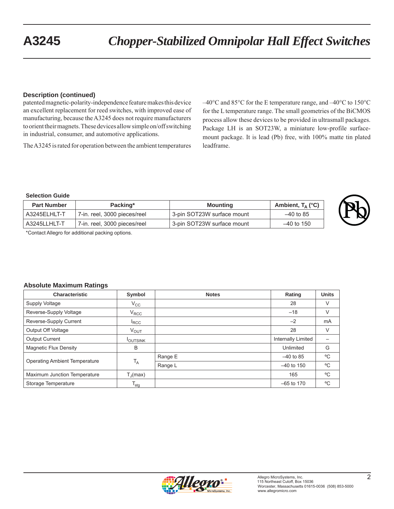### **Description (continued)**

patented magnetic-polarity-independence feature makes this device an excellent replacement for reed switches, with improved ease of manufacturing, because the A3245 does not require manufacturers to orient their magnets. These devices allow simple on/off switching in industrial, consumer, and automotive applications.

The A3245 is rated for operation between the ambient temperatures

–40°C and 85°C for the E temperature range, and –40°C to 150°C for the L temperature range. The small geometries of the BiCMOS process allow these devices to be provided in ultrasmall packages. Package LH is an SOT23W, a miniature low-profile surfacemount package. It is lead (Pb) free, with 100% matte tin plated leadframe.

#### **Selection Guide**

| <b>Part Number</b> | Packing*                     | Mounting                   | Ambient, $T_A$ (°C) |
|--------------------|------------------------------|----------------------------|---------------------|
| A3245ELHLT-T       | 7-in. reel, 3000 pieces/reel | 3-pin SOT23W surface mount | $-40$ to 85         |
| A3245LLHLT-T       | 7-in. reel, 3000 pieces/reel | 3-pin SOT23W surface mount | –40 to 150          |

\*Contact Allegro for additional packing options.

#### **Absolute Maximum Ratings**

| <b>Characteristic</b>                | Symbol                | <b>Notes</b> | Rating             | <b>Units</b> |
|--------------------------------------|-----------------------|--------------|--------------------|--------------|
| Supply Voltage                       | $V_{\rm CC}$          |              | 28                 | V            |
| Reverse-Supply Voltage               | $V_{\text{RCC}}$      |              | $-18$              | $\vee$       |
| Reverse-Supply Current               | <sup>I</sup> RCC      |              | $-2$               | <b>mA</b>    |
| Output Off Voltage                   | $V_{\text{OUT}}$      |              | 28                 | $\vee$       |
| <b>Output Current</b>                | <b>I</b> OUTSINK      |              | Internally Limited |              |
| <b>Magnetic Flux Density</b>         | B                     |              | Unlimited          | G            |
| <b>Operating Ambient Temperature</b> | $T_A$                 | Range E      | $-40$ to 85        | $^{\circ}$ C |
|                                      |                       | Range L      | $-40$ to 150       | °C           |
| Maximum Junction Temperature         | $T_{\parallel}$ (max) |              | 165                | °C           |
| Storage Temperature                  | $T_{\text{stg}}$      |              | $-65$ to 170       | $^{\circ}$ C |

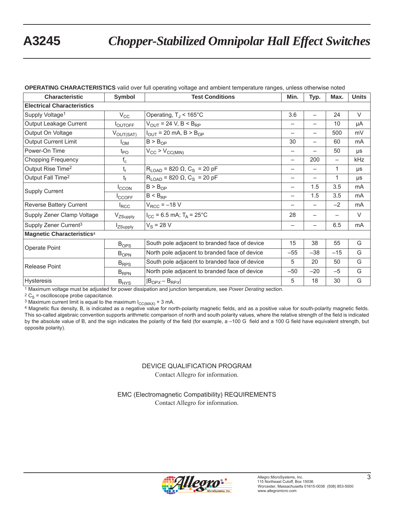# **A3245** *Chopper-Stabilized Omnipolar Hall Effect Switches*

| <b>Characteristic</b>             | <b>Symbol</b>        | <b>Test Conditions</b>                                    |                          | Typ.                     | Max.                     | <b>Units</b> |
|-----------------------------------|----------------------|-----------------------------------------------------------|--------------------------|--------------------------|--------------------------|--------------|
| <b>Electrical Characteristics</b> |                      |                                                           |                          |                          |                          |              |
| Supply Voltage <sup>1</sup>       | $V_{\rm CC}$         | Operating, $T_J < 165^{\circ}$ C                          | 3.6                      | $\overline{\phantom{0}}$ | 24                       | $\vee$       |
| Output Leakage Current            | <b>LOUTOFF</b>       | $V_{OUT}$ = 24 V, B < B <sub>RP</sub>                     | —                        |                          | 10                       | μA           |
| Output On Voltage                 | $V_{OUT(SAT)}$       | $I_{OUT}$ = 20 mA, B > B <sub>OP</sub>                    | -                        |                          | 500                      | mV           |
| <b>Output Current Limit</b>       | $I_{OM}$             | $B > B_{OP}$                                              | 30                       |                          | 60                       | mA           |
| Power-On Time                     | $t_{\mathsf{PO}}$    | $V_{CC}$ > $V_{CC(MIN)}$                                  | —                        |                          | 50                       | μs           |
| <b>Chopping Frequency</b>         | $f_c$                |                                                           | $\overline{\phantom{0}}$ | 200                      | $\overline{\phantom{0}}$ | kHz          |
| Output Rise Time <sup>2</sup>     | $t_{r}$              | $R_{\text{LOAD}}$ = 820 $\Omega$ , C <sub>S</sub> = 20 pF | —                        | $\overline{\phantom{0}}$ | 1                        | μs           |
| Output Fall Time <sup>2</sup>     | $t_f$                | $R_{\text{LOAD}}$ = 820 $\Omega$ , C <sub>S</sub> = 20 pF | -                        |                          | 1                        | μs           |
| <b>Supply Current</b>             | <b>ICCON</b>         | B > B <sub>OP</sub>                                       | -                        | 1.5                      | 3.5                      | mA           |
|                                   | <b>ICCOFF</b>        | $B < B_{RP}$                                              | —                        | 1.5                      | 3.5                      | mA           |
| Reverse Battery Current           | $I_{\text{RCC}}$     | $V_{RCC} = -18 V$                                         | —                        |                          | $-2$                     | mA           |
| Supply Zener Clamp Voltage        | V <sub>ZSupply</sub> | $I_{CC}$ = 6.5 mA; T <sub>A</sub> = 25°C                  | 28                       |                          |                          | $\vee$       |
| Supply Zener Current <sup>3</sup> | <b>IzSupply</b>      | $V_S = 28 V$                                              | —                        |                          | 6.5                      | mA           |
| <b>Magnetic Characteristics4</b>  |                      |                                                           |                          |                          |                          |              |
| Operate Point                     | B <sub>OPS</sub>     | South pole adjacent to branded face of device             | 15                       | 38                       | 55                       | G            |
|                                   | $B_{OPN}$            | North pole adjacent to branded face of device             | $-55$                    | $-38$                    | $-15$                    | G            |
| <b>Release Point</b>              | $B_{RPS}$            | South pole adjacent to branded face of device             | 5                        | 20                       | 50                       | G            |
|                                   | $B_{RPN}$            | North pole adjacent to branded face of device             | $-50$                    | $-20$                    | $-5$                     | G            |
| Hysteresis                        | $B_{HYS}$            | $ B_{OPX}-B_{RPX} $                                       | 5                        | 18                       | 30                       | G            |

#### **OPERATING CHARACTERISTICS** valid over full operating voltage and ambient temperature ranges, unless otherwise noted

1 Maximum voltage must be adjusted for power dissipation and junction temperature, see *Power Derating* section.

 $2 C<sub>S</sub>$  = oscilloscope probe capacitance.

<sup>3</sup> Maximum current limit is equal to the maximum  $I_{\text{CC}(MAX)} + 3$  mA.

4 Magnetic flux density, B, is indicated as a negative value for north-polarity magnetic fields, and as a positive value for south-polarity magnetic fields. This so-called algebraic convention supports arithmetic comparison of north and south polarity values, where the relative strength of the field is indicated by the absolute value of B, and the sign indicates the polarity of the field (for example, a -100 G field and a 100 G field have equivalent strength, but opposite polarity).

## DEVICE QUALIFICATION PROGRAM Contact Allegro for information.

EMC (Electromagnetic Compatibility) REQUIREMENTS Contact Allegro for information.

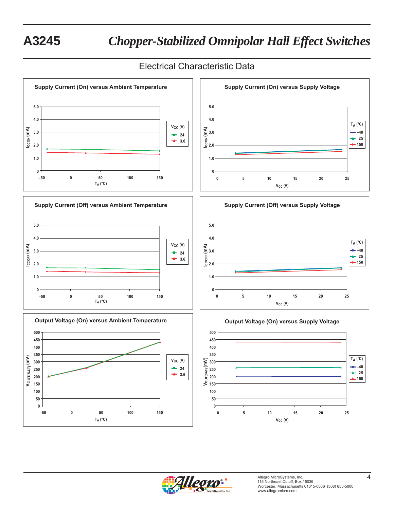# **A3245** *Chopper-Stabilized Omnipolar Hall Effect Switches*

# Electrical Characteristic Data



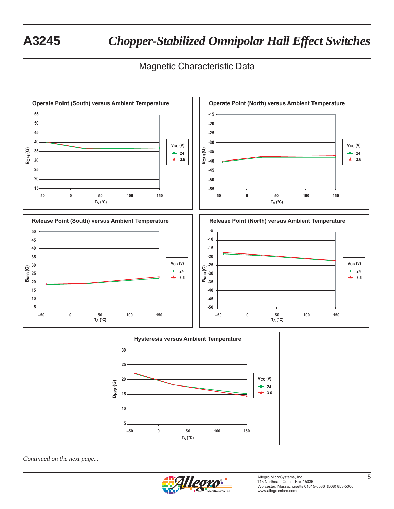# **A3245** *Chopper-Stabilized Omnipolar Hall Effect Switches*

# Magnetic Characteristic Data





*Continued on the next page...*

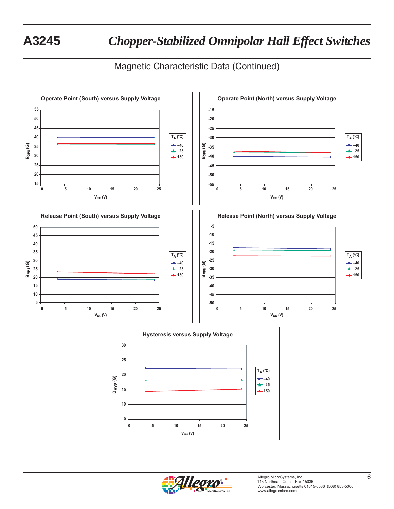# Magnetic Characteristic Data (Continued)



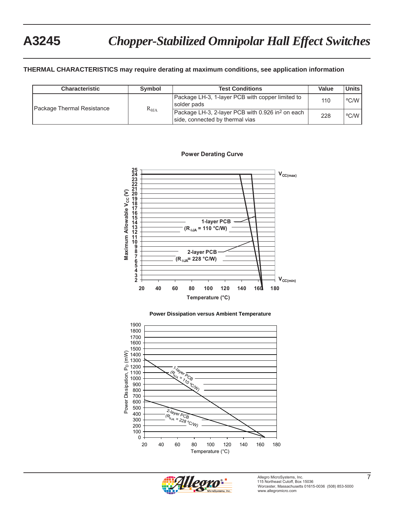### **THERMAL CHARACTERISTICS may require derating at maximum conditions, see application information**

| <b>Characteristic</b>      | Symbol          | <b>Test Conditions</b>                                                                          | Value | Units l |
|----------------------------|-----------------|-------------------------------------------------------------------------------------------------|-------|---------|
| Package Thermal Resistance |                 | Package LH-3, 1-layer PCB with copper limited to<br>solder pads                                 | 110   | °C/W l  |
|                            | $R_{\theta JA}$ | Package LH-3, 2-layer PCB with 0.926 in <sup>2</sup> on each<br>side, connected by thermal vias | 228   | °C/W    |

#### **Power Derating Curve**



#### **Power Dissipation versus Ambient Temperature**



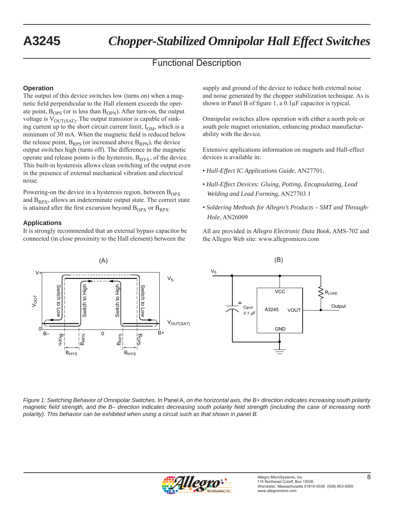# Functional Description

## **Operation**

The output of this device switches low (turns on) when a magnetic field perpendicular to the Hall element exceeds the operate point,  $B_{OPS}$  (or is less than  $B_{OPN}$ ). After turn-on, the output voltage is  $V_{\text{OUT(SAT)}}$ . The output transistor is capable of sinking current up to the short circuit current limit,  $I_{OM}$ , which is a minimum of 30 mA. When the magnetic field is reduced below the release point,  $B_{RPS}$  (or increased above  $B_{RPN}$ ), the device output switches high (turns off). The difference in the magnetic operate and release points is the hysteresis,  $B<sub>HYS</sub>$ , of the device. This built-in hysteresis allows clean switching of the output even in the presence of external mechanical vibration and electrical noise.

Powering-on the device in a hysteresis region, between  $B<sub>OPX</sub>$ and  $B_{RPX}$ , allows an indeterminate output state. The correct state is attained after the first excursion beyond  $B_{OPX}$  or  $B_{RPX}$ .

### **Applications**

It is strongly recommended that an external bypass capacitor be connected (in close proximity to the Hall element) between the

supply and ground of the device to reduce both external noise and noise generated by the chopper stabilization technique. As is shown in Panel B of figure 1, a  $0.1 \mu$ F capacitor is typical.

Omnipolar switches allow operation with either a north pole or south pole magnet orientation, enhancing product manufacturability with the device.

Extensive applications information on magnets and Hall-effect devices is available in:

- *Hall-Effect IC Applications Guide*, AN27701,
- *Hall-Effect Devices: Gluing, Potting, Encapsulating, Lead Welding and Lead Forming*, AN27703.1
- *Soldering Methods for Allegro's Products SMT and Through-Hole*, AN26009

All are provided in *Allegro Electronic Data Book*, AMS-702 and the Allegro Web site: www.allegromicro.com



*Figure 1: Switching Behavior of Omnipolar Switches.* In Panel A, *on the horizontal axis, the B+ direction indicates increasing south polarity magnetic fi eld strength, and the B– direction indicates decreasing south polarity fi eld strength (including the case of increasing north polarity). This behavior can be exhibited when using a circuit such as that shown in panel B.* 

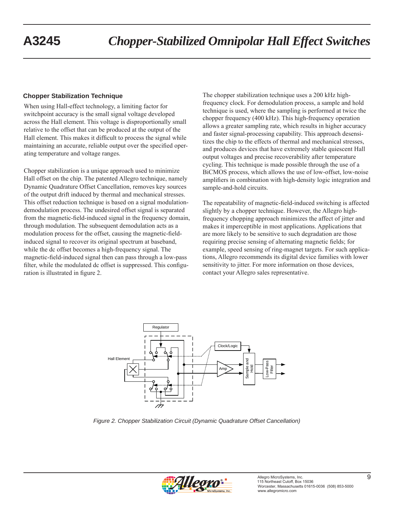## **Chopper Stabilization Technique**

When using Hall-effect technology, a limiting factor for switchpoint accuracy is the small signal voltage developed across the Hall element. This voltage is disproportionally small relative to the offset that can be produced at the output of the Hall element. This makes it difficult to process the signal while maintaining an accurate, reliable output over the specified operating temperature and voltage ranges.

Chopper stabilization is a unique approach used to minimize Hall offset on the chip. The patented Allegro technique, namely Dynamic Quadrature Offset Cancellation, removes key sources of the output drift induced by thermal and mechanical stresses. This offset reduction technique is based on a signal modulationdemodulation process. The undesired offset signal is separated from the magnetic-field-induced signal in the frequency domain, through modulation. The subsequent demodulation acts as a modulation process for the offset, causing the magnetic-fieldinduced signal to recover its original spectrum at baseband, while the dc offset becomes a high-frequency signal. The magnetic-field-induced signal then can pass through a low-pass filter, while the modulated dc offset is suppressed. This configuration is illustrated in figure 2.

The chopper stabilization technique uses a 200 kHz highfrequency clock. For demodulation process, a sample and hold technique is used, where the sampling is performed at twice the chopper frequency (400 kHz). This high-frequency operation allows a greater sampling rate, which results in higher accuracy and faster signal-processing capability. This approach desensitizes the chip to the effects of thermal and mechanical stresses, and produces devices that have extremely stable quiescent Hall output voltages and precise recoverability after temperature cycling. This technique is made possible through the use of a BiCMOS process, which allows the use of low-offset, low-noise amplifiers in combination with high-density logic integration and sample-and-hold circuits.

The repeatability of magnetic-field-induced switching is affected slightly by a chopper technique. However, the Allegro highfrequency chopping approach minimizes the affect of jitter and makes it imperceptible in most applications. Applications that are more likely to be sensitive to such degradation are those requiring precise sensing of alternating magnetic fields; for example, speed sensing of ring-magnet targets. For such applications, Allegro recommends its digital device families with lower sensitivity to jitter. For more information on those devices, contact your Allegro sales representative.



*Figure 2. Chopper Stabilization Circuit (Dynamic Quadrature Offset Cancellation)*

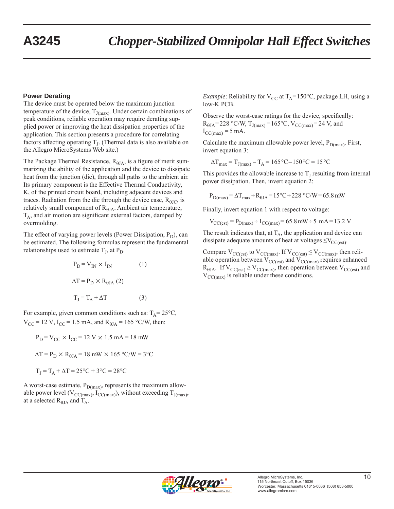### **Power Derating**

The device must be operated below the maximum junction temperature of the device,  $T_{J(max)}$ . Under certain combinations of peak conditions, reliable operation may require derating supplied power or improving the heat dissipation properties of the application. This section presents a procedure for correlating factors affecting operating  $T<sub>L</sub>$ . (Thermal data is also available on the Allegro MicroSystems Web site.)

The Package Thermal Resistance,  $R_{\theta JA}$ , is a figure of merit summarizing the ability of the application and the device to dissipate heat from the junction (die), through all paths to the ambient air. Its primary component is the Effective Thermal Conductivity, K, of the printed circuit board, including adjacent devices and traces. Radiation from the die through the device case,  $R_{\theta IC}$ , is relatively small component of  $R<sub>0JA</sub>$ . Ambient air temperature,  $T_A$ , and air motion are significant external factors, damped by overmolding.

The effect of varying power levels (Power Dissipation,  $P_D$ ), can be estimated. The following formulas represent the fundamental relationships used to estimate  $T_J$ , at  $P_D$ .

$$
P_{D} = V_{IN} \times I_{IN}
$$
 (1)  

$$
\Delta T = P_{D} \times R_{0JA}
$$
 (2)  

$$
T_{J} = T_{A} + \Delta T
$$
 (3)

For example, given common conditions such as:  $T_A = 25^{\circ}C$ ,  $V_{\text{CC}}$  = 12 V, I<sub>CC</sub> = 1.5 mA, and R<sub> $\theta$ JA</sub> = 165 °C/W, then:

$$
P_D = V_{CC} \times I_{CC} = 12 \text{ V} \times 1.5 \text{ mA} = 18 \text{ mW}
$$

 $\Delta T = P_D \times R_{dJA} = 18$  mW  $\times 165$  °C/W = 3°C

 $T_1 = T_A + \Delta T = 25\degree C + 3\degree C = 28\degree C$ 

A worst-case estimate,  $P_{D(max)}$ , represents the maximum allowable power level ( $V_{CC(max)}$ ,  $I_{CC(max)}$ ), without exceeding  $T_{J(max)}$ , at a selected  $R_{\theta JA}$  and  $T_A$ .

*Example*: Reliability for  $V_{CC}$  at  $T_A = 150^{\circ}C$ , package LH, using a low-K PCB.

Observe the worst-case ratings for the device, specifically:  $R_{\theta JA} = 228 \text{ °C/W}, T_{J(max)} = 165 \text{ °C}, V_{CC(max)} = 24 \text{ V}, \text{ and}$  $I_{\text{CC(max)}} = 5 \text{ mA}.$ 

Calculate the maximum allowable power level,  $P_{D(max)}$ . First, invert equation 3:

$$
\Delta T_{\text{max}} = T_{J(\text{max})} - T_A = 165 \,^{\circ}\text{C} - 150 \,^{\circ}\text{C} = 15 \,^{\circ}\text{C}
$$

This provides the allowable increase to  $T<sub>I</sub>$  resulting from internal power dissipation. Then, invert equation 2:

$$
P_{D(max)} = \Delta T_{max} \div R_{\theta JA} = 15\degree C \div 228\degree C/W = 65.8\text{ mW}
$$

Finally, invert equation 1 with respect to voltage:

$$
V_{\text{CC}(\text{est})} = P_{\text{D}(\text{max})} \div I_{\text{CC}(\text{max})} = 65.8 \text{ mW} \div 5 \text{ mA} = 13.2 \text{ V}
$$

The result indicates that, at  $T_A$ , the application and device can dissipate adequate amounts of heat at voltages  $\leq$ V<sub>CC(est)</sub>.

Compare  $V_{CC(est)}$  to  $V_{CC(max)}$ . If  $V_{CC(est)} \leq V_{CC(max)}$ , then reliable operation between  $V_{CC(est)}$  and  $V_{CC(max)}$  requires enhanced  $R_{\theta JA}$ . If  $V_{CC(est)} \geq V_{CC(max)}$ , then operation between  $V_{CC(est)}$  and  $V_{\text{CC(max)}}$  is reliable under these conditions.

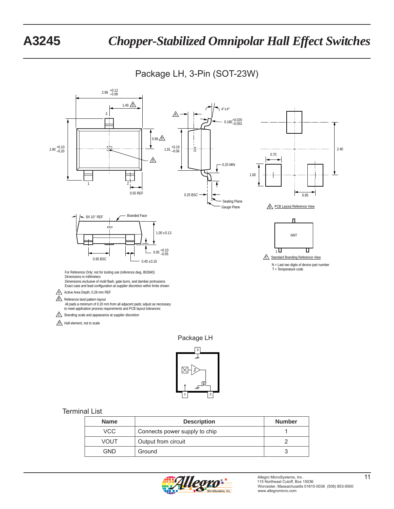Package LH, 3-Pin (SOT-23W)





### Terminal List

| <b>Name</b> | <b>Description</b>            | <b>Number</b> |
|-------------|-------------------------------|---------------|
| <b>VCC</b>  | Connects power supply to chip |               |
| <b>VOUT</b> | Output from circuit           |               |
| GND         | Ground                        |               |